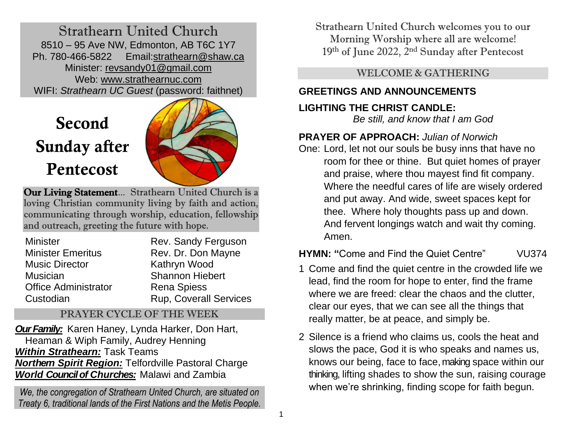Strathearn United Church 8510 – 95 Ave NW, Edmonton, AB T6C 1Y7 Ph. 780-466-5822 Email[:strathearn@shaw.ca](mailto:strathearn@shaw.ca) Minister: [revsandy01@gmail.com](mailto:revsandy01@gmail.com) Web: [www.strathearnuc.com](http://strathearn.shawwebspace.ca/) WIFI: *Strathearn UC Guest* (password: faithnet)

# Second Sunday after Pentecost



Our Living Statement... Strathearn United Church is a loving Christian community living by faith and action, communicating through worship, education, fellowship and outreach, greeting the future with hope.

| <b>Minister</b>             | Rev. Sandy Ferguson           |
|-----------------------------|-------------------------------|
| <b>Minister Emeritus</b>    | Rev. Dr. Don Mayne            |
| <b>Music Director</b>       | Kathryn Wood                  |
| <b>Musician</b>             | <b>Shannon Hiebert</b>        |
| <b>Office Administrator</b> | <b>Rena Spiess</b>            |
| Custodian                   | <b>Rup, Coverall Services</b> |

## PRAYER CYCLE OF THE WEEK

*OurFamily:* Karen Haney, Lynda Harker, Don Hart, Heaman & Wiph Family, Audrey Henning *Within Strathearn:* Task Teams *Northern Spirit Region:* Telfordville Pastoral Charge *World Council of Churches:* Malawi and Zambia

*We, the congregation of Strathearn United Church, are situated on Treaty 6, traditional lands of the First Nations and the Metis People.* Strathearn United Church welcomes you to our Morning Worship where all are welcome! 19<sup>th</sup> of June 2022, 2<sup>nd</sup> Sunday after Pentecost

WELCOME & GATHERING

# **GREETINGS AND ANNOUNCEMENTS**

# **LIGHTING THE CHRIST CANDLE:**

*Be still, and know that I am God*

# **PRAYER OF APPROACH:** *Julian of Norwich*

One: Lord, let not our souls be busy inns that have no room for thee or thine. But quiet homes of prayer and praise, where thou mayest find fit company. Where the needful cares of life are wisely ordered and put away. And wide, sweet spaces kept for thee. Where holy thoughts pass up and down. And fervent longings watch and wait thy coming. Amen.

# **HYMN: "**Come and Find the Quiet Centre" VU374

- 1 Come and find the quiet centre in the crowded life we lead, find the room for hope to enter, find the frame where we are freed: clear the chaos and the clutter, clear our eyes, that we can see all the things that really matter, be at peace, and simply be.
- 2 Silence is a friend who claims us, cools the heat and slows the pace, God it is who speaks and names us, knows our being, face to face, making space within our thinking, lifting shades to show the sun, raising courage when we're shrinking, finding scope for faith begun.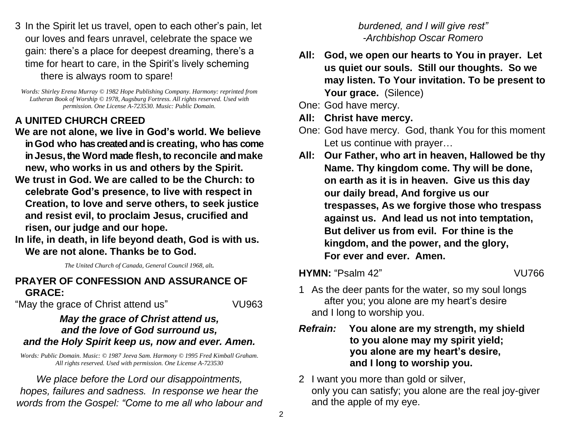3 In the Spirit let us travel, open to each other's pain, let our loves and fears unravel, celebrate the space we gain: there's a place for deepest dreaming, there's a time for heart to care, in the Spirit's lively scheming there is always room to spare!

*Words: Shirley Erena Murray © 1982 Hope Publishing Company. Harmony: reprinted from Lutheran Book of Worship © 1978, Augsburg Fortress. All rights reserved. Used with permission. One License A-723530. Music: Public Domain.*

# **A UNITED CHURCH CREED**

- **We are not alone, we live in God's world. We believe in God who has created and is creating, who has come in Jesus, the Word made flesh, to reconcile and make new, who works in us and others by the Spirit.**
- **We trust in God. We are called to be the Church: to celebrate God's presence, to live with respect in Creation, to love and serve others, to seek justice and resist evil, to proclaim Jesus, crucified and risen, our judge and our hope.**
- **In life, in death, in life beyond death, God is with us. We are not alone. Thanks be to God.**

*The United Church of Canada, General Council 1968, alt.*

#### **PRAYER OF CONFESSION AND ASSURANCE OF GRACE:**

"May the grace of Christ attend us" VU963

#### *May the grace of Christ attend us, and the love of God surround us, and the Holy Spirit keep us, now and ever. Amen.*

*Words: Public Domain. Music: © 1987 Jeeva Sam. Harmony © 1995 Fred Kimball Graham. All rights reserved. Used with permission. One License A-723530*

*We place before the Lord our disappointments, hopes, failures and sadness. In response we hear the words from the Gospel: "Come to me all who labour and* 

#### *burdened, and I will give rest" -Archbishop Oscar Romero*

**All: God, we open our hearts to You in prayer. Let us quiet our souls. Still our thoughts. So we may listen. To Your invitation. To be present to**  Your grace. (Silence)

One: God have mercy.

- **All: Christ have mercy.**
- One: God have mercy. God, thank You for this moment Let us continue with prayer…
- **All: Our Father, who art in heaven, Hallowed be thy Name. Thy kingdom come. Thy will be done, on earth as it is in heaven. Give us this day our daily bread, And forgive us our trespasses, As we forgive those who trespass against us. And lead us not into temptation, But deliver us from evil. For thine is the kingdom, and the power, and the glory, For ever and ever. Amen.**

**HYMN:** "Psalm 42" VU766

- 1 As the deer pants for the water, so my soul longs after you; you alone are my heart's desire and I long to worship you.
- *Refrain:* **You alone are my strength, my shield to you alone may my spirit yield; you alone are my heart's desire, and I long to worship you.**
- 2 I want you more than gold or silver, only you can satisfy; you alone are the real joy-giver and the apple of my eye.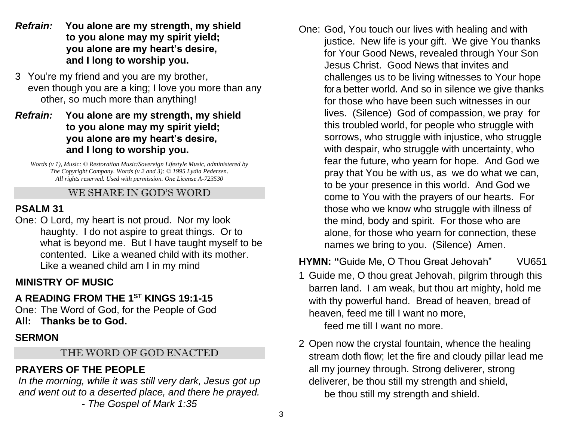- *Refrain:* **You alone are my strength, my shield to you alone may my spirit yield; you alone are my heart's desire, and I long to worship you.**
- 3 You're my friend and you are my brother, even though you are a king; I love you more than any other, so much more than anything!
- *Refrain:* **You alone are my strength, my shield to you alone may my spirit yield; you alone are my heart's desire, and I long to worship you.**

*Words (v 1), Music: © Restoration Music/Sovereign Lifestyle Music, administered by The Copyright Company. Words (v 2 and 3): © 1995 Lydia Pedersen. All rights reserved. Used with permission. One License A-723530*

#### WE SHARE IN GOD'S WORD

# **PSALM 31**

One: O Lord, my heart is not proud. Nor my look haughty. I do not aspire to great things. Or to what is beyond me. But I have taught myself to be contented. Like a weaned child with its mother. Like a weaned child am I in my mind

# **MINISTRY OF MUSIC**

# **A READING FROM THE 1 ST KINGS 19:1-15**

One: The Word of God, for the People of God **All: Thanks be to God.**

# **SERMON**

## THE WORD OF GOD ENACTED

# **PRAYERS OF THE PEOPLE**

In the morning, while it was still very dark, Jesus got up *and went out to a deserted place, and there he prayed. - The Gospel of Mark 1:35*

One: God, You touch our lives with healing and with justice. New life is your gift. We give You thanks for Your Good News, revealed through Your Son Jesus Christ. Good News that invites and challenges us to be living witnesses to Your hope for a better world. And so in silence we give thanks for those who have been such witnesses in our lives. (Silence) God of compassion, we pray for this troubled world, for people who struggle with sorrows, who struggle with injustice, who struggle with despair, who struggle with uncertainty, who fear the future, who yearn for hope. And God we pray that You be with us, as we do what we can, to be your presence in this world. And God we come to You with the prayers of our hearts. For those who we know who struggle with illness of the mind, body and spirit. For those who are alone, for those who yearn for connection, these names we bring to you. (Silence) Amen.

**HYMN: "**Guide Me, O Thou Great Jehovah" VU651

1 Guide me, O thou great Jehovah, pilgrim through this barren land. I am weak, but thou art mighty, hold me with thy powerful hand. Bread of heaven, bread of heaven, feed me till I want no more,

feed me till I want no more.

2 Open now the crystal fountain, whence the healing stream doth flow; let the fire and cloudy pillar lead me all my journey through. Strong deliverer, strong deliverer, be thou still my strength and shield, be thou still my strength and shield.